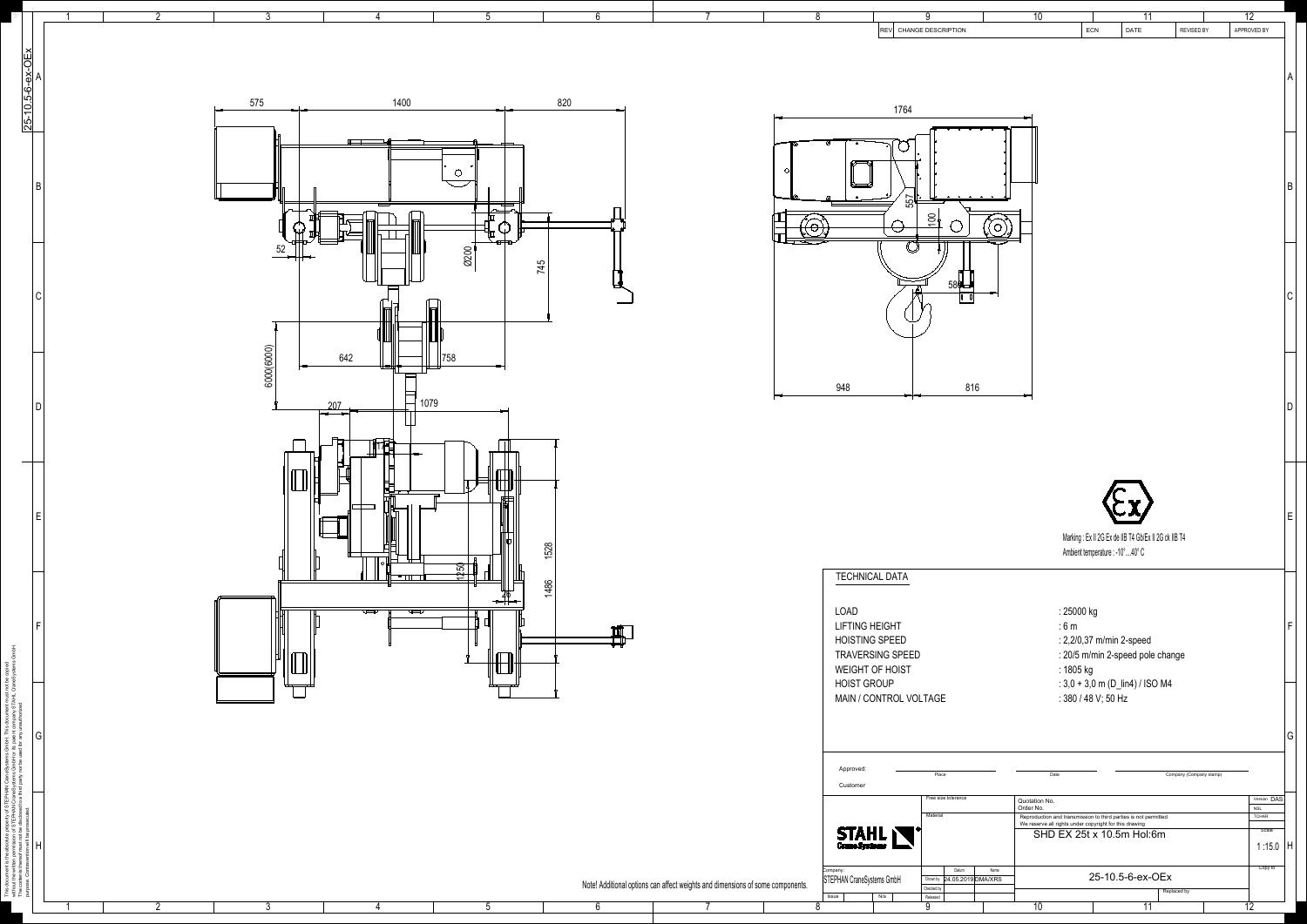

|                  | റ<br>3                                                                                                                                                                                                           |                                                                                                                                    | -0                                                                                                             | 10<br>11                                                                                                                                                            | 12                           |
|------------------|------------------------------------------------------------------------------------------------------------------------------------------------------------------------------------------------------------------|------------------------------------------------------------------------------------------------------------------------------------|----------------------------------------------------------------------------------------------------------------|---------------------------------------------------------------------------------------------------------------------------------------------------------------------|------------------------------|
|                  |                                                                                                                                                                                                                  |                                                                                                                                    | REV CHANGE DESCRIPTION                                                                                         | ECN<br>DATE                                                                                                                                                         | APPROVED BY<br>REVISED BY    |
|                  |                                                                                                                                                                                                                  |                                                                                                                                    |                                                                                                                |                                                                                                                                                                     |                              |
| 25-10.5-6-ex-OEx | 1400<br>820<br>575                                                                                                                                                                                               |                                                                                                                                    |                                                                                                                |                                                                                                                                                                     |                              |
|                  |                                                                                                                                                                                                                  |                                                                                                                                    | 1764                                                                                                           |                                                                                                                                                                     |                              |
|                  | $\overline{\phantom{0}}$                                                                                                                                                                                         |                                                                                                                                    |                                                                                                                |                                                                                                                                                                     |                              |
|                  |                                                                                                                                                                                                                  |                                                                                                                                    |                                                                                                                |                                                                                                                                                                     |                              |
|                  |                                                                                                                                                                                                                  |                                                                                                                                    | $\begin{array}{cccccccccccccc} \circ & \circ & \circ & \circ & \circ & \circ & \circ \end{array}$<br>ی<br>155° |                                                                                                                                                                     |                              |
|                  |                                                                                                                                                                                                                  |                                                                                                                                    | $\frac{1}{2}$                                                                                                  |                                                                                                                                                                     |                              |
|                  | 52<br>0200<br>————————————————————<br>745                                                                                                                                                                        |                                                                                                                                    |                                                                                                                |                                                                                                                                                                     |                              |
|                  |                                                                                                                                                                                                                  |                                                                                                                                    | 580                                                                                                            |                                                                                                                                                                     |                              |
|                  |                                                                                                                                                                                                                  |                                                                                                                                    |                                                                                                                |                                                                                                                                                                     |                              |
|                  | $\widehat{\circ}$                                                                                                                                                                                                |                                                                                                                                    |                                                                                                                |                                                                                                                                                                     |                              |
|                  | $\frac{60006000}{2}$<br>642<br>$\vert$ 758                                                                                                                                                                       |                                                                                                                                    |                                                                                                                |                                                                                                                                                                     |                              |
|                  | 1079<br>207 <sub>1</sub>                                                                                                                                                                                         | 948                                                                                                                                | 816                                                                                                            |                                                                                                                                                                     |                              |
|                  | $\overline{\phantom{a}}$                                                                                                                                                                                         |                                                                                                                                    |                                                                                                                |                                                                                                                                                                     |                              |
|                  | $\Box$<br>$\overline{\phantom{0}}$<br><b>That's</b><br>والمستناد المتعارب                                                                                                                                        |                                                                                                                                    |                                                                                                                |                                                                                                                                                                     |                              |
|                  | $\begin{tabular}{ c c c c } \hline \quad \quad & \quad \quad & \quad \quad \\ \hline \quad \quad & \quad \quad & \quad \quad \\ \hline \quad \quad & \quad \quad & \quad \quad \\ \hline \end{tabular}$<br>كككية |                                                                                                                                    |                                                                                                                |                                                                                                                                                                     |                              |
|                  | $\overline{\phantom{a}}$                                                                                                                                                                                         |                                                                                                                                    |                                                                                                                |                                                                                                                                                                     |                              |
|                  | ੮<br>1528                                                                                                                                                                                                        |                                                                                                                                    |                                                                                                                | Marking : Ex II 2G Ex de IIB T4 Gb/Ex II 2G ck IIB T4                                                                                                               |                              |
|                  | $\begin{array}{c}\n\boxed{1250} \\ \boxed{1250}\n\end{array}$<br>$\overline{\phantom{a}}$                                                                                                                        | <b>TECHNICAL DATA</b>                                                                                                              |                                                                                                                | Ambient temperature : -10°40° C                                                                                                                                     |                              |
|                  | 1486<br>$\overline{\phantom{0}26}$                                                                                                                                                                               |                                                                                                                                    |                                                                                                                |                                                                                                                                                                     |                              |
|                  | $\frac{1}{\sqrt{2}}$<br>$\overline{\mathbb{R}}$                                                                                                                                                                  | LOAD<br><b>LIFTING HEIGHT</b>                                                                                                      |                                                                                                                | : 25000 kg<br>:6m                                                                                                                                                   |                              |
|                  | $\Pi$<br>$\begin{tabular}{ c c c c } \hline \quad \quad & \quad \quad & \quad \quad \\ \hline \quad \quad & \quad \quad & \quad \quad \\ \hline \quad \quad & \quad \quad & \quad \quad \\ \hline \end{tabular}$ | <b>HOISTING SPEED</b><br>TRAVERSING SPEED                                                                                          |                                                                                                                | : 2,2/0,37 m/min 2-speed<br>: 20/5 m/min 2-speed pole change                                                                                                        |                              |
|                  | $\mathbb{H}$<br>كسوس وسيست                                                                                                                                                                                       | WEIGHT OF HOIST<br><b>HOIST GROUP</b>                                                                                              |                                                                                                                | : 1805 kg<br>: $3,0 + 3,0$ m (D_lin4) / ISO M4                                                                                                                      |                              |
|                  | _____                                                                                                                                                                                                            |                                                                                                                                    | MAIN / CONTROL VOLTAGE                                                                                         | : 380 / 48 V; 50 Hz                                                                                                                                                 |                              |
| G                |                                                                                                                                                                                                                  |                                                                                                                                    |                                                                                                                |                                                                                                                                                                     |                              |
|                  |                                                                                                                                                                                                                  | Approved                                                                                                                           | Place                                                                                                          | Date                                                                                                                                                                | Company (Company stamp)      |
|                  |                                                                                                                                                                                                                  | Customer                                                                                                                           | Free size tolerance                                                                                            | Quotation No.                                                                                                                                                       | Version DAS                  |
|                  |                                                                                                                                                                                                                  |                                                                                                                                    | Material                                                                                                       | Order No.<br>Reproduction and transmission to third parties is not permitted<br>We reserve all rights under copyright for this drawing<br>SHD EX 25t x 10.5m Hol:6m | NSL<br><b>TCHAR</b><br>Scale |
|                  |                                                                                                                                                                                                                  | <b>STAHL</b>                                                                                                                       |                                                                                                                |                                                                                                                                                                     | 1:15.0   H                   |
|                  |                                                                                                                                                                                                                  | <sub>Company:</sub><br>STEPHAN CraneSystems GmbH<br>Note! Additional options can affect weights and dimensions of some components. | Datum<br>Name<br>Drown by 24.05.2019 DMA/XRS<br>Checked by                                                     | 25-10.5-6-ex-OEx<br>Replaced by                                                                                                                                     | Copy to                      |
|                  |                                                                                                                                                                                                                  | <b>Issue</b>                                                                                                                       | Released<br>N/a                                                                                                | 10 <sup>°</sup><br>11                                                                                                                                               | 12                           |